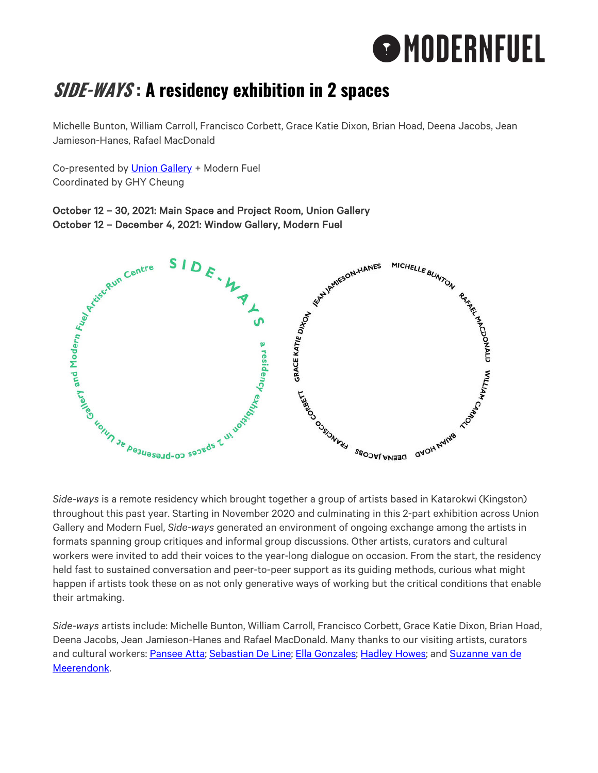# **O**MODERNFUEL

# **SIDE-WAYS : A residency exhibition in 2 spaces**

Michelle Bunton, William Carroll, Francisco Corbett, Grace Katie Dixon, Brian Hoad, Deena Jacobs, Jean Jamieson-Hanes, Rafael MacDonald

Co-presented by Union Gallery + Modern Fuel Coordinated by GHY Cheung

# October 12 – 30, 2021: Main Space and Project Room, Union Gallery October 12 – December 4, 2021: Window Gallery, Modern Fuel



*Side-ways* is a remote residency which brought together a group of artists based in Katarokwi (Kingston) throughout this past year. Starting in November 2020 and culminating in this 2-part exhibition across Union Gallery and Modern Fuel, *Side-ways* generated an environment of ongoing exchange among the artists in formats spanning group critiques and informal group discussions. Other artists, curators and cultural workers were invited to add their voices to the year-long dialogue on occasion. From the start, the residency held fast to sustained conversation and peer-to-peer support as its guiding methods, curious what might happen if artists took these on as not only generative ways of working but the critical conditions that enable their artmaking.

*Side-ways* artists include: Michelle Bunton, William Carroll, Francisco Corbett, Grace Katie Dixon, Brian Hoad, Deena Jacobs, Jean Jamieson-Hanes and Rafael MacDonald. Many thanks to our visiting artists, curators and cultural workers: Pansee Atta; Sebastian De Line; Ella Gonzales; Hadley Howes; and Suzanne van de Meerendonk.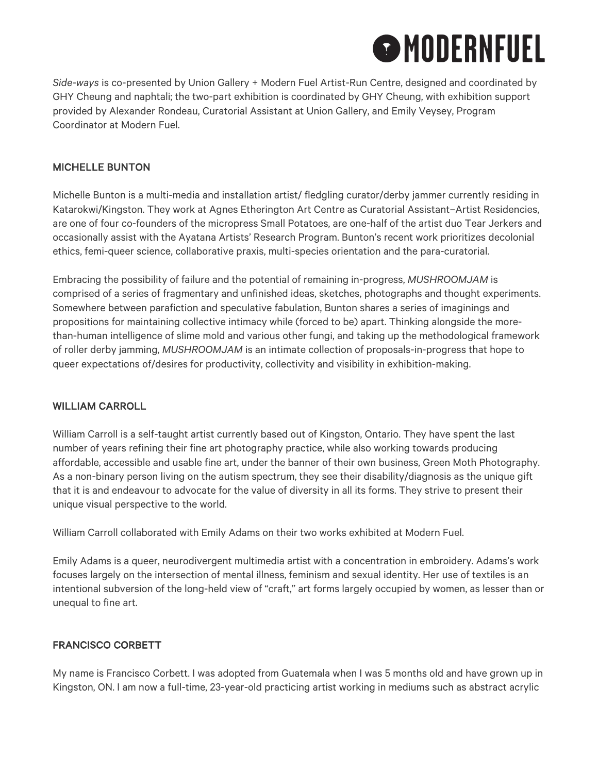

*Side-ways* is co-presented by Union Gallery + Modern Fuel Artist-Run Centre, designed and coordinated by GHY Cheung and naphtali; the two-part exhibition is coordinated by GHY Cheung, with exhibition support provided by Alexander Rondeau, Curatorial Assistant at Union Gallery, and Emily Veysey, Program Coordinator at Modern Fuel.

#### MICHELLE BUNTON

Michelle Bunton is a multi-media and installation artist/ fledgling curator/derby jammer currently residing in Katarokwi/Kingston. They work at Agnes Etherington Art Centre as Curatorial Assistant–Artist Residencies, are one of four co-founders of the micropress Small Potatoes, are one-half of the artist duo Tear Jerkers and occasionally assist with the Ayatana Artists' Research Program. Bunton's recent work prioritizes decolonial ethics, femi-queer science, collaborative praxis, multi-species orientation and the para-curatorial.

Embracing the possibility of failure and the potential of remaining in-progress, *MUSHROOMJAM* is comprised of a series of fragmentary and unfinished ideas, sketches, photographs and thought experiments. Somewhere between parafiction and speculative fabulation, Bunton shares a series of imaginings and propositions for maintaining collective intimacy while (forced to be) apart. Thinking alongside the morethan-human intelligence of slime mold and various other fungi, and taking up the methodological framework of roller derby jamming, *MUSHROOMJAM* is an intimate collection of proposals-in-progress that hope to queer expectations of/desires for productivity, collectivity and visibility in exhibition-making.

#### WILLIAM CARROLL

William Carroll is a self-taught artist currently based out of Kingston, Ontario. They have spent the last number of years refining their fine art photography practice, while also working towards producing affordable, accessible and usable fine art, under the banner of their own business, Green Moth Photography. As a non-binary person living on the autism spectrum, they see their disability/diagnosis as the unique gift that it is and endeavour to advocate for the value of diversity in all its forms. They strive to present their unique visual perspective to the world.

William Carroll collaborated with Emily Adams on their two works exhibited at Modern Fuel.

Emily Adams is a queer, neurodivergent multimedia artist with a concentration in embroidery. Adams's work focuses largely on the intersection of mental illness, feminism and sexual identity. Her use of textiles is an intentional subversion of the long-held view of "craft," art forms largely occupied by women, as lesser than or unequal to fine art.

#### FRANCISCO CORBETT

My name is Francisco Corbett. I was adopted from Guatemala when I was 5 months old and have grown up in Kingston, ON. I am now a full-time, 23-year-old practicing artist working in mediums such as abstract acrylic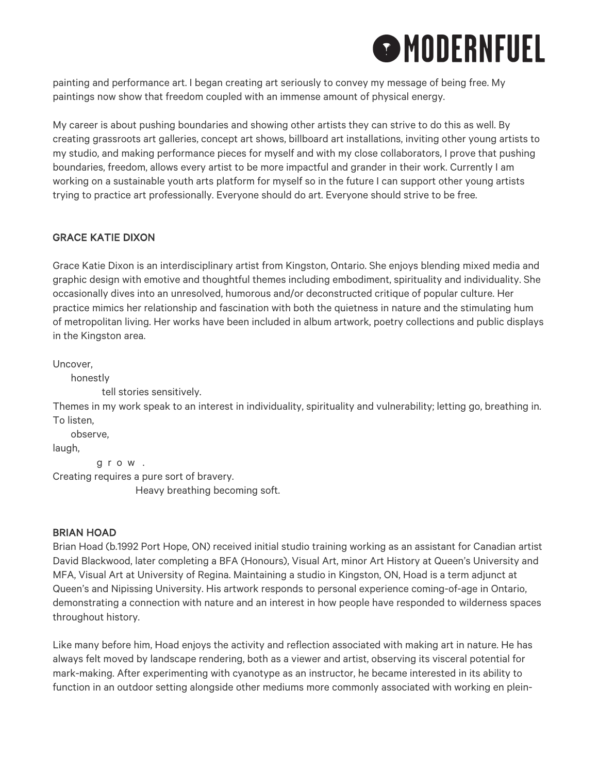# **O** MODERNFUEL

painting and performance art. I began creating art seriously to convey my message of being free. My paintings now show that freedom coupled with an immense amount of physical energy.

My career is about pushing boundaries and showing other artists they can strive to do this as well. By creating grassroots art galleries, concept art shows, billboard art installations, inviting other young artists to my studio, and making performance pieces for myself and with my close collaborators, I prove that pushing boundaries, freedom, allows every artist to be more impactful and grander in their work. Currently I am working on a sustainable youth arts platform for myself so in the future I can support other young artists trying to practice art professionally. Everyone should do art. Everyone should strive to be free.

# GRACE KATIE DIXON

Grace Katie Dixon is an interdisciplinary artist from Kingston, Ontario. She enjoys blending mixed media and graphic design with emotive and thoughtful themes including embodiment, spirituality and individuality. She occasionally dives into an unresolved, humorous and/or deconstructed critique of popular culture. Her practice mimics her relationship and fascination with both the quietness in nature and the stimulating hum of metropolitan living. Her works have been included in album artwork, poetry collections and public displays in the Kingston area.

Uncover,

honestly

tell stories sensitively.

Themes in my work speak to an interest in individuality, spirituality and vulnerability; letting go, breathing in. To listen,

observe,

laugh,

g r o w .

Creating requires a pure sort of bravery.

Heavy breathing becoming soft.

## BRIAN HOAD

Brian Hoad (b.1992 Port Hope, ON) received initial studio training working as an assistant for Canadian artist David Blackwood, later completing a BFA (Honours), Visual Art, minor Art History at Queen's University and MFA, Visual Art at University of Regina. Maintaining a studio in Kingston, ON, Hoad is a term adjunct at Queen's and Nipissing University. His artwork responds to personal experience coming-of-age in Ontario, demonstrating a connection with nature and an interest in how people have responded to wilderness spaces throughout history.

Like many before him, Hoad enjoys the activity and reflection associated with making art in nature. He has always felt moved by landscape rendering, both as a viewer and artist, observing its visceral potential for mark-making. After experimenting with cyanotype as an instructor, he became interested in its ability to function in an outdoor setting alongside other mediums more commonly associated with working en plein-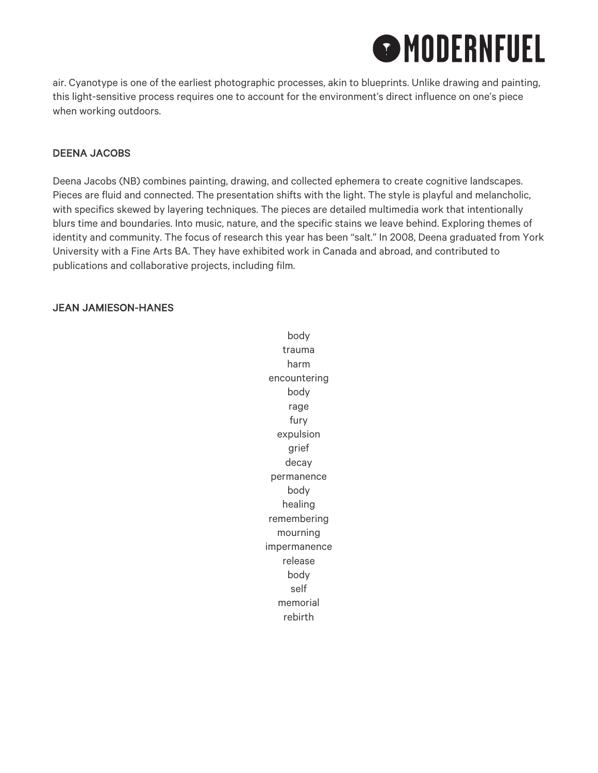# **O**MODERNFUEL

air. Cyanotype is one of the earliest photographic processes, akin to blueprints. Unlike drawing and painting, this light-sensitive process requires one to account for the environment's direct influence on one's piece when working outdoors.

### DEENA JACOBS

Deena Jacobs (NB) combines painting, drawing, and collected ephemera to create cognitive landscapes. Pieces are fluid and connected. The presentation shifts with the light. The style is playful and melancholic, with specifics skewed by layering techniques. The pieces are detailed multimedia work that intentionally blurs time and boundaries. Into music, nature, and the specific stains we leave behind. Exploring themes of identity and community. The focus of research this year has been "salt." In 2008, Deena graduated from York University with a Fine Arts BA. They have exhibited work in Canada and abroad, and contributed to publications and collaborative projects, including film.

### JEAN JAMIESON-HANES

body trauma harm encountering body rage fury expulsion grief decay permanence body healing remembering mourning impermanence release body self memorial rebirth